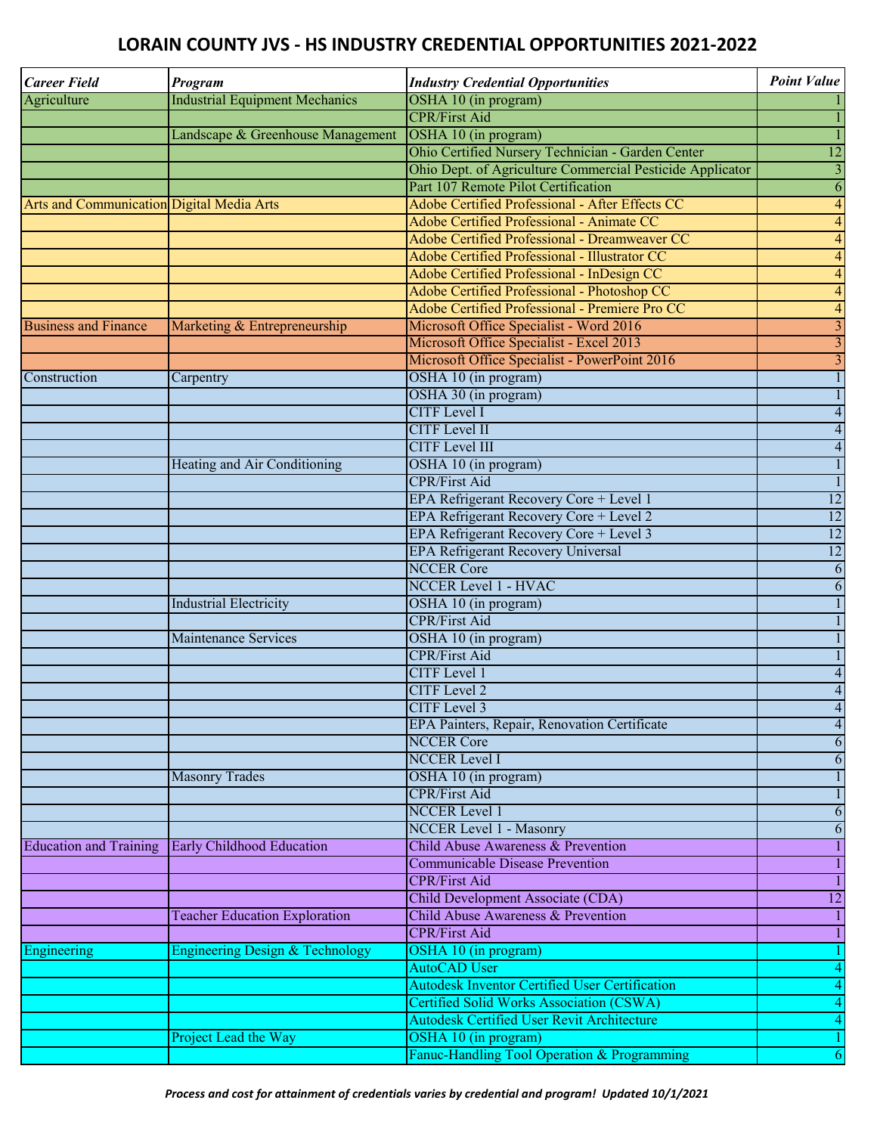## **LORAIN COUNTY JVS - HS INDUSTRY CREDENTIAL OPPORTUNITIES 2021-2022**

| <b>Career Field</b>                       | Program                                          | <b>Industry Credential Opportunities</b>                             | <b>Point Value</b>                         |
|-------------------------------------------|--------------------------------------------------|----------------------------------------------------------------------|--------------------------------------------|
| Agriculture                               | <b>Industrial Equipment Mechanics</b>            | OSHA 10 (in program)                                                 |                                            |
|                                           |                                                  | <b>CPR/First Aid</b>                                                 | $\mathbf{1}$                               |
|                                           | Landscape & Greenhouse Management                | OSHA 10 (in program)                                                 | $\mathbf{1}$                               |
|                                           |                                                  | Ohio Certified Nursery Technician - Garden Center                    | 12                                         |
|                                           |                                                  | Ohio Dept. of Agriculture Commercial Pesticide Applicator            | $\overline{3}$                             |
|                                           |                                                  | Part 107 Remote Pilot Certification                                  | $\overline{6}$                             |
| Arts and Communication Digital Media Arts |                                                  | Adobe Certified Professional - After Effects CC                      | $\overline{4}$                             |
|                                           |                                                  | Adobe Certified Professional - Animate CC                            | $\overline{\mathbf{A}}$                    |
|                                           |                                                  | Adobe Certified Professional - Dreamweaver CC                        | $\overline{\mathbf{A}}$                    |
|                                           |                                                  | Adobe Certified Professional - Illustrator CC                        | $\overline{\mathbf{A}}$                    |
|                                           |                                                  | Adobe Certified Professional - InDesign CC                           | $\overline{\mathbf{r}}$                    |
|                                           |                                                  | Adobe Certified Professional - Photoshop CC                          | $\overline{\mathcal{A}}$                   |
|                                           |                                                  | Adobe Certified Professional - Premiere Pro CC                       | $\overline{4}$                             |
| <b>Business and Finance</b>               | Marketing & Entrepreneurship                     | Microsoft Office Specialist - Word 2016                              | $\overline{3}$                             |
|                                           |                                                  | Microsoft Office Specialist - Excel 2013                             | $\overline{3}$                             |
|                                           |                                                  | Microsoft Office Specialist - PowerPoint 2016                        | $\overline{3}$                             |
| Construction                              | Carpentry                                        | OSHA 10 (in program)                                                 | $\mathbf{1}$                               |
|                                           |                                                  | OSHA 30 (in program)                                                 | $\mathbf{1}$                               |
|                                           |                                                  | <b>CITF</b> Level I                                                  | $\overline{\mathbf{A}}$                    |
|                                           |                                                  | <b>CITF</b> Level II                                                 | $\overline{\mathbf{A}}$                    |
|                                           |                                                  | <b>CITF</b> Level III                                                | $\overline{\mathcal{A}}$                   |
|                                           | Heating and Air Conditioning                     | OSHA 10 (in program)                                                 | $\mathbf{1}$                               |
|                                           |                                                  | <b>CPR/First Aid</b>                                                 | $\mathbf{1}$                               |
|                                           |                                                  | EPA Refrigerant Recovery Core + Level 1                              | 12                                         |
|                                           |                                                  | EPA Refrigerant Recovery Core + Level 2                              | 12                                         |
|                                           |                                                  | EPA Refrigerant Recovery Core + Level 3                              | 12                                         |
|                                           |                                                  | <b>EPA Refrigerant Recovery Universal</b>                            | 12                                         |
|                                           |                                                  | <b>NCCER Core</b>                                                    | $\overline{6}$                             |
|                                           |                                                  | <b>NCCER Level 1 - HVAC</b>                                          | $\overline{6}$                             |
|                                           | <b>Industrial Electricity</b>                    | OSHA 10 (in program)                                                 | $\overline{1}$                             |
|                                           |                                                  | <b>CPR/First Aid</b>                                                 | $\mathbf{1}$                               |
|                                           | Maintenance Services                             | OSHA 10 (in program)                                                 | $\mathbf{1}$                               |
|                                           |                                                  | <b>CPR/First Aid</b>                                                 | $\mathbf{1}$                               |
|                                           |                                                  | <b>CITF</b> Level 1                                                  |                                            |
|                                           |                                                  | <b>CITF</b> Level 2                                                  | $\overline{\mathcal{A}}$                   |
|                                           |                                                  | <b>CITF</b> Level 3                                                  | $\overline{\mathcal{A}}$<br>$\overline{4}$ |
|                                           |                                                  |                                                                      |                                            |
|                                           |                                                  | EPA Painters, Repair, Renovation Certificate<br><b>NCCER Core</b>    | $\overline{\mathcal{A}}$                   |
|                                           |                                                  |                                                                      | 6                                          |
|                                           |                                                  | <b>NCCER Level I</b>                                                 | 6                                          |
|                                           | <b>Masonry Trades</b>                            | OSHA 10 (in program)                                                 | $\mathbf{1}$                               |
|                                           |                                                  | <b>CPR/First Aid</b>                                                 | $\mathbf{1}$                               |
|                                           |                                                  | <b>NCCER</b> Level 1                                                 | 6                                          |
|                                           |                                                  | <b>NCCER Level 1 - Masonry</b><br>Child Abuse Awareness & Prevention | 6                                          |
|                                           | Education and Training Early Childhood Education | <b>Communicable Disease Prevention</b>                               | $\mathbf{1}$                               |
|                                           |                                                  |                                                                      | $\mathbf{1}$                               |
|                                           |                                                  | <b>CPR/First Aid</b>                                                 | $\mathbf{1}$                               |
|                                           |                                                  | Child Development Associate (CDA)                                    | 12                                         |
|                                           | <b>Teacher Education Exploration</b>             | Child Abuse Awareness & Prevention                                   | $\mathbf{1}$                               |
|                                           |                                                  | <b>CPR/First Aid</b>                                                 | $\mathbf{1}$                               |
| Engineering                               | <b>Engineering Design &amp; Technology</b>       | OSHA 10 (in program)                                                 | 1                                          |
|                                           |                                                  | <b>AutoCAD User</b>                                                  | $\overline{4}$                             |
|                                           |                                                  | <b>Autodesk Inventor Certified User Certification</b>                | $\overline{\mathbf{A}}$                    |
|                                           |                                                  | <b>Certified Solid Works Association (CSWA)</b>                      | $\overline{\mathcal{A}}$                   |
|                                           |                                                  | <b>Autodesk Certified User Revit Architecture</b>                    | $\overline{\mathcal{A}}$                   |
|                                           | Project Lead the Way                             | OSHA 10 (in program)                                                 | $\mathbf{1}$                               |
|                                           |                                                  | Fanuc-Handling Tool Operation & Programming                          | $\overline{6}$                             |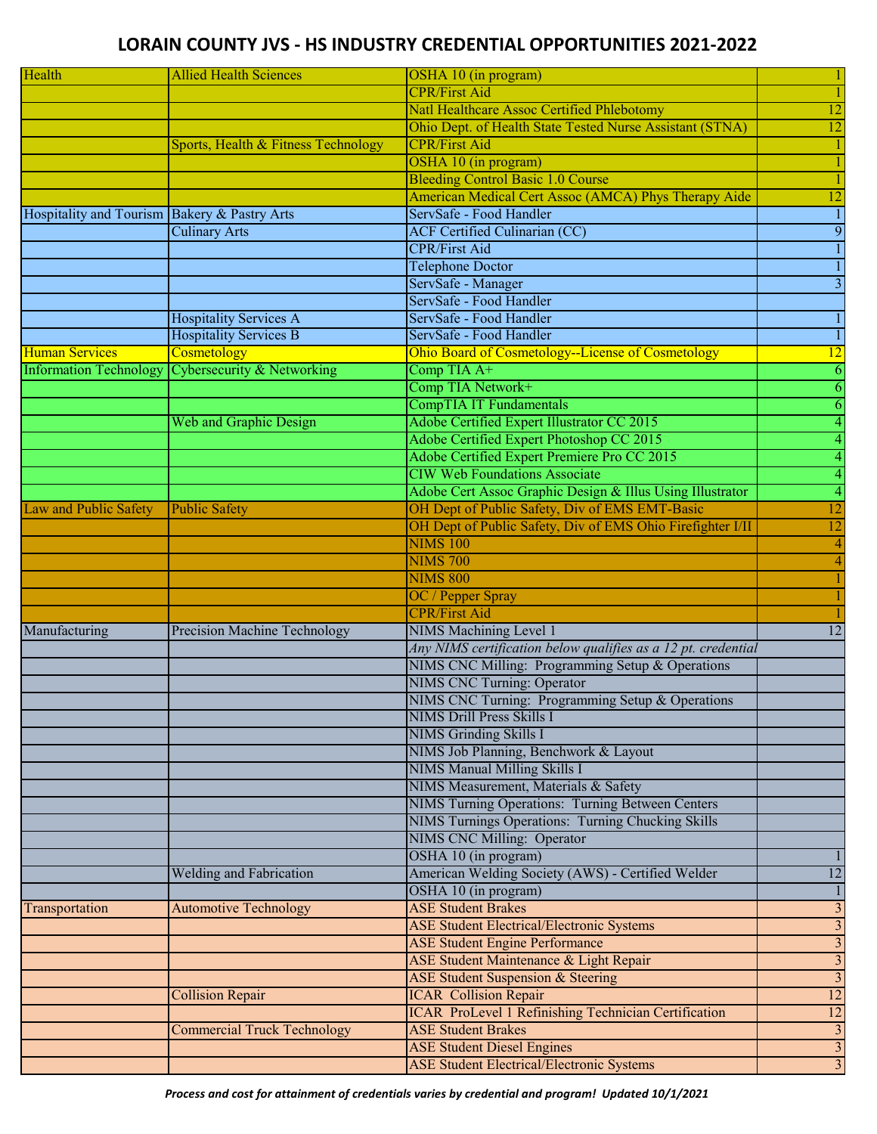## **LORAIN COUNTY JVS - HS INDUSTRY CREDENTIAL OPPORTUNITIES 2021-2022**

| Health                                       | <b>Allied Health Sciences</b>       | OSHA 10 (in program)                                          | 1                       |
|----------------------------------------------|-------------------------------------|---------------------------------------------------------------|-------------------------|
|                                              |                                     | <b>CPR/First Aid</b>                                          | $\mathbf{1}$            |
|                                              |                                     | Natl Healthcare Assoc Certified Phlebotomy                    | 12                      |
|                                              |                                     | Ohio Dept. of Health State Tested Nurse Assistant (STNA)      | 12                      |
|                                              | Sports, Health & Fitness Technology | <b>CPR/First Aid</b>                                          |                         |
|                                              |                                     | OSHA 10 (in program)                                          |                         |
|                                              |                                     | <b>Bleeding Control Basic 1.0 Course</b>                      | $\mathbf{1}$            |
|                                              |                                     | American Medical Cert Assoc (AMCA) Phys Therapy Aide          | 12                      |
| Hospitality and Tourism Bakery & Pastry Arts |                                     | ServSafe - Food Handler                                       | $\overline{1}$          |
|                                              |                                     |                                                               |                         |
|                                              | <b>Culinary Arts</b>                | <b>ACF Certified Culinarian (CC)</b>                          | 9                       |
|                                              |                                     | <b>CPR/First Aid</b>                                          | $\mathbf{1}$            |
|                                              |                                     | <b>Telephone Doctor</b>                                       | $\mathbf{1}$            |
|                                              |                                     | ServSafe - Manager                                            | $\overline{3}$          |
|                                              |                                     | ServSafe - Food Handler                                       |                         |
|                                              | <b>Hospitality Services A</b>       | ServSafe - Food Handler                                       | $\mathbf{1}$            |
|                                              | <b>Hospitality Services B</b>       | ServSafe - Food Handler                                       | $\mathbf{1}$            |
| <b>Human Services</b>                        | Cosmetology                         | Ohio Board of Cosmetology--License of Cosmetology             | 12                      |
| <b>Information Technology</b>                | Cybersecurity & Networking          | Comp TIA $A^+$                                                | 6                       |
|                                              |                                     | Comp TIA Network+                                             | $\overline{6}$          |
|                                              |                                     | CompTIA IT Fundamentals                                       | 6                       |
|                                              | Web and Graphic Design              | Adobe Certified Expert Illustrator CC 2015                    | $\overline{4}$          |
|                                              |                                     | Adobe Certified Expert Photoshop CC 2015                      | $\overline{4}$          |
|                                              |                                     | Adobe Certified Expert Premiere Pro CC 2015                   | $\overline{4}$          |
|                                              |                                     | <b>CIW Web Foundations Associate</b>                          | $\overline{4}$          |
|                                              |                                     | Adobe Cert Assoc Graphic Design & Illus Using Illustrator     | $\overline{4}$          |
| <b>Law and Public Safety</b>                 | <b>Public Safety</b>                | OH Dept of Public Safety, Div of EMS EMT-Basic                | 12                      |
|                                              |                                     | OH Dept of Public Safety, Div of EMS Ohio Firefighter I/II    | 12                      |
|                                              |                                     | <b>NIMS 100</b>                                               | $\overline{4}$          |
|                                              |                                     |                                                               |                         |
|                                              |                                     | <b>NIMS 700</b>                                               | $\overline{4}$          |
|                                              |                                     | <b>NIMS 800</b>                                               |                         |
|                                              |                                     | OC / Pepper Spray                                             |                         |
|                                              |                                     | <b>CPR/First Aid</b>                                          |                         |
| Manufacturing                                | <b>Precision Machine Technology</b> | NIMS Machining Level 1                                        | 12                      |
|                                              |                                     | Any NIMS certification below qualifies as a 12 pt. credential |                         |
|                                              |                                     | NIMS CNC Milling: Programming Setup & Operations              |                         |
|                                              |                                     | <b>NIMS CNC Turning: Operator</b>                             |                         |
|                                              |                                     | NIMS CNC Turning: Programming Setup & Operations              |                         |
|                                              |                                     | <b>NIMS Drill Press Skills I</b>                              |                         |
|                                              |                                     | <b>NIMS Grinding Skills I</b>                                 |                         |
|                                              |                                     | NIMS Job Planning, Benchwork & Layout                         |                         |
|                                              |                                     | <b>NIMS Manual Milling Skills I</b>                           |                         |
|                                              |                                     | NIMS Measurement, Materials & Safety                          |                         |
|                                              |                                     | NIMS Turning Operations: Turning Between Centers              |                         |
|                                              |                                     | NIMS Turnings Operations: Turning Chucking Skills             |                         |
|                                              |                                     | <b>NIMS CNC Milling: Operator</b>                             |                         |
|                                              |                                     | OSHA 10 (in program)                                          |                         |
|                                              | Welding and Fabrication             | American Welding Society (AWS) - Certified Welder             | 12                      |
|                                              |                                     | OSHA 10 (in program)                                          | $\mathbf{1}$            |
| Transportation                               | <b>Automotive Technology</b>        | <b>ASE Student Brakes</b>                                     | $\overline{3}$          |
|                                              |                                     | <b>ASE Student Electrical/Electronic Systems</b>              | $\overline{3}$          |
|                                              |                                     | <b>ASE Student Engine Performance</b>                         |                         |
|                                              |                                     | ASE Student Maintenance & Light Repair                        | $\overline{3}$          |
|                                              |                                     |                                                               | $\overline{\mathbf{3}}$ |
|                                              |                                     | <b>ASE Student Suspension &amp; Steering</b>                  | $\overline{3}$          |
|                                              | <b>Collision Repair</b>             | <b>ICAR Collision Repair</b>                                  | 12                      |
|                                              |                                     | <b>ICAR ProLevel 1 Refinishing Technician Certification</b>   | 12                      |
|                                              | <b>Commercial Truck Technology</b>  | <b>ASE Student Brakes</b>                                     | $\overline{3}$          |
|                                              |                                     | <b>ASE Student Diesel Engines</b>                             | $\overline{3}$          |
|                                              |                                     | <b>ASE Student Electrical/Electronic Systems</b>              | $\overline{3}$          |

*Process and cost for attainment of credentials varies by credential and program! Updated 10/1/2021*